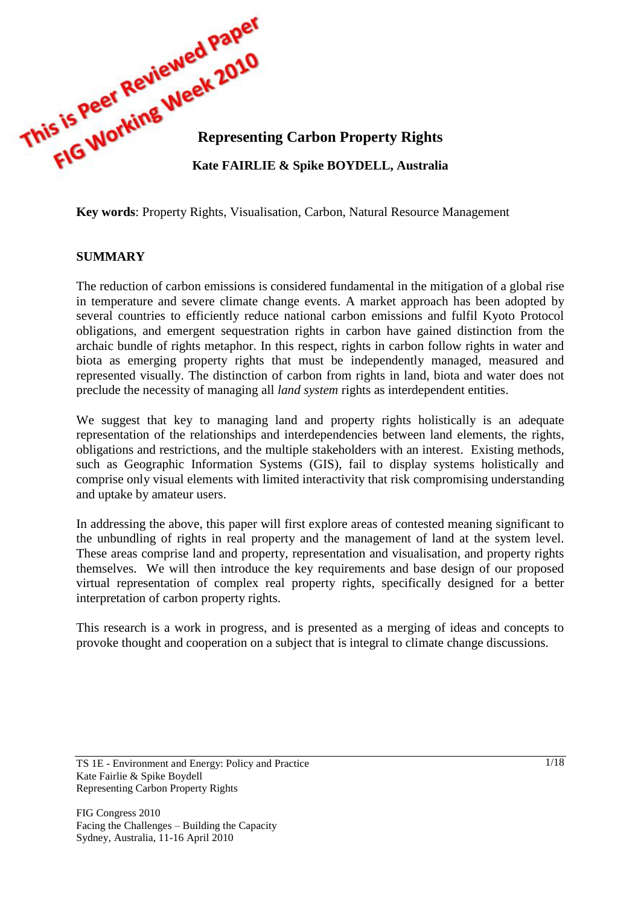

**Key words**: Property Rights, Visualisation, Carbon, Natural Resource Management

# **SUMMARY**

The reduction of carbon emissions is considered fundamental in the mitigation of a global rise in temperature and severe climate change events. A market approach has been adopted by several countries to efficiently reduce national carbon emissions and fulfil Kyoto Protocol obligations, and emergent sequestration rights in carbon have gained distinction from the archaic bundle of rights metaphor. In this respect, rights in carbon follow rights in water and biota as emerging property rights that must be independently managed, measured and represented visually. The distinction of carbon from rights in land, biota and water does not preclude the necessity of managing all *land system* rights as interdependent entities.

We suggest that key to managing land and property rights holistically is an adequate representation of the relationships and interdependencies between land elements, the rights, obligations and restrictions, and the multiple stakeholders with an interest. Existing methods, such as Geographic Information Systems (GIS), fail to display systems holistically and comprise only visual elements with limited interactivity that risk compromising understanding and uptake by amateur users.

In addressing the above, this paper will first explore areas of contested meaning significant to the unbundling of rights in real property and the management of land at the system level. These areas comprise land and property, representation and visualisation, and property rights themselves. We will then introduce the key requirements and base design of our proposed virtual representation of complex real property rights, specifically designed for a better interpretation of carbon property rights.

This research is a work in progress, and is presented as a merging of ideas and concepts to provoke thought and cooperation on a subject that is integral to climate change discussions.

TS 1E - Environment and Energy: Policy and Practice Kate Fairlie & Spike Boydell Representing Carbon Property Rights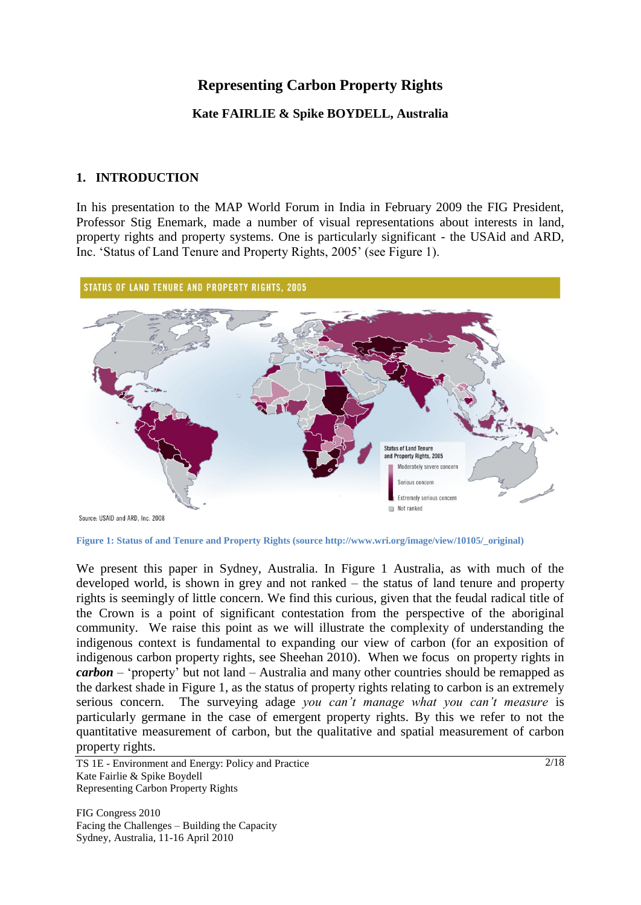# **Representing Carbon Property Rights**

#### **Kate FAIRLIE & Spike BOYDELL, Australia**

#### **1. INTRODUCTION**

In his presentation to the MAP World Forum in India in February 2009 the FIG President, Professor Stig Enemark, made a number of visual representations about interests in land, property rights and property systems. One is particularly significant - the USAid and ARD, Inc. "Status of Land Tenure and Property Rights, 2005" (see Figure 1).



Source: USAID and ARD, Inc. 2008

**Figure 1: Status of and Tenure and Property Rights (source http://www.wri.org/image/view/10105/\_original)**

We present this paper in Sydney, Australia. In Figure 1 Australia, as with much of the developed world, is shown in grey and not ranked – the status of land tenure and property rights is seemingly of little concern. We find this curious, given that the feudal radical title of the Crown is a point of significant contestation from the perspective of the aboriginal community. We raise this point as we will illustrate the complexity of understanding the indigenous context is fundamental to expanding our view of carbon (for an exposition of indigenous carbon property rights, see Sheehan 2010). When we focus on property rights in *carbon* – "property" but not land – Australia and many other countries should be remapped as the darkest shade in Figure 1, as the status of property rights relating to carbon is an extremely serious concern. The surveying adage *you can"t manage what you can"t measure* is particularly germane in the case of emergent property rights*.* By this we refer to not the quantitative measurement of carbon, but the qualitative and spatial measurement of carbon property rights.

TS 1E - Environment and Energy: Policy and Practice Kate Fairlie & Spike Boydell Representing Carbon Property Rights

FIG Congress 2010 Facing the Challenges – Building the Capacity Sydney, Australia, 11-16 April 2010

 $2/18$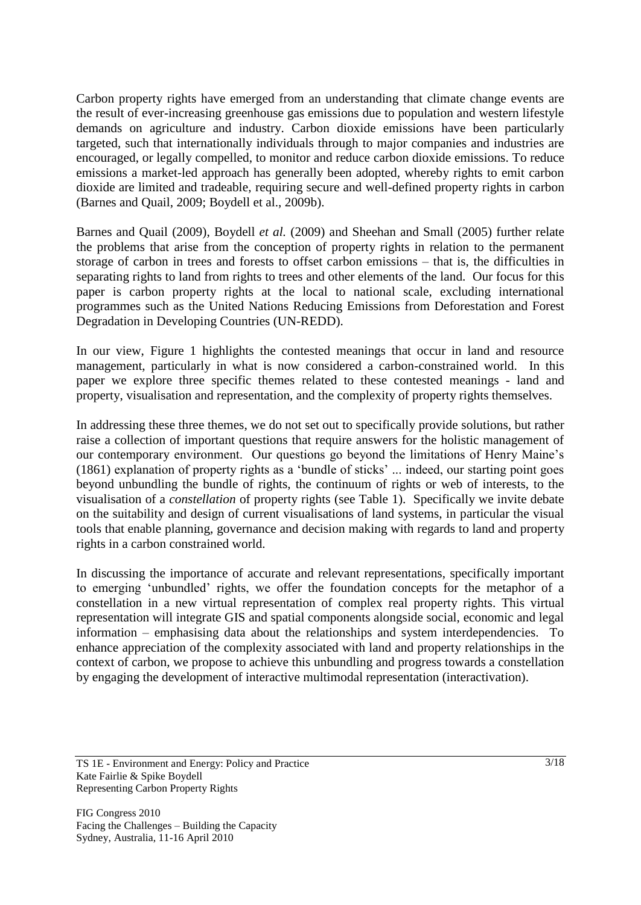Carbon property rights have emerged from an understanding that climate change events are the result of ever-increasing greenhouse gas emissions due to population and western lifestyle demands on agriculture and industry. Carbon dioxide emissions have been particularly targeted, such that internationally individuals through to major companies and industries are encouraged, or legally compelled, to monitor and reduce carbon dioxide emissions. To reduce emissions a market-led approach has generally been adopted, whereby rights to emit carbon dioxide are limited and tradeable, requiring secure and well-defined property rights in carbon (Barnes and Quail, 2009; Boydell et al., 2009b).

Barnes and Quail (2009), Boydell *et al.* (2009) and Sheehan and Small (2005) further relate the problems that arise from the conception of property rights in relation to the permanent storage of carbon in trees and forests to offset carbon emissions – that is, the difficulties in separating rights to land from rights to trees and other elements of the land. Our focus for this paper is carbon property rights at the local to national scale, excluding international programmes such as the United Nations Reducing Emissions from Deforestation and Forest Degradation in Developing Countries (UN-REDD).

In our view, Figure 1 highlights the contested meanings that occur in land and resource management, particularly in what is now considered a carbon-constrained world. In this paper we explore three specific themes related to these contested meanings - land and property, visualisation and representation, and the complexity of property rights themselves.

In addressing these three themes, we do not set out to specifically provide solutions, but rather raise a collection of important questions that require answers for the holistic management of our contemporary environment. Our questions go beyond the limitations of Henry Maine"s (1861) explanation of property rights as a "bundle of sticks" ... indeed, our starting point goes beyond unbundling the bundle of rights, the continuum of rights or web of interests, to the visualisation of a *constellation* of property rights (see Table 1). Specifically we invite debate on the suitability and design of current visualisations of land systems, in particular the visual tools that enable planning, governance and decision making with regards to land and property rights in a carbon constrained world.

In discussing the importance of accurate and relevant representations, specifically important to emerging "unbundled" rights, we offer the foundation concepts for the metaphor of a constellation in a new virtual representation of complex real property rights. This virtual representation will integrate GIS and spatial components alongside social, economic and legal information – emphasising data about the relationships and system interdependencies. To enhance appreciation of the complexity associated with land and property relationships in the context of carbon, we propose to achieve this unbundling and progress towards a constellation by engaging the development of interactive multimodal representation (interactivation).

TS 1E - Environment and Energy: Policy and Practice Kate Fairlie & Spike Boydell Representing Carbon Property Rights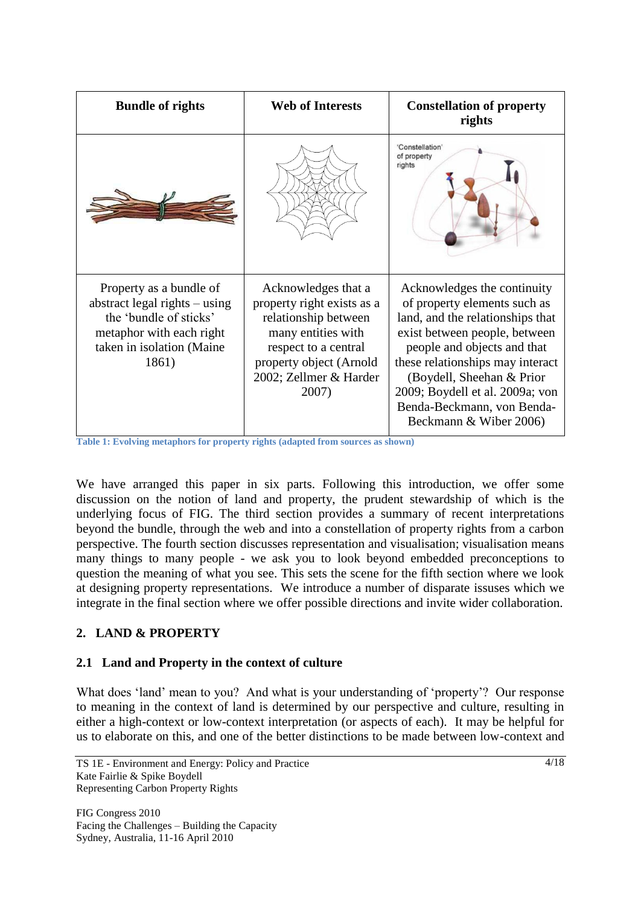| <b>Bundle of rights</b>                                                                                                                              | <b>Web of Interests</b>                                                                                                                                                               | <b>Constellation of property</b><br>rights                                                                                                                                                                                                                                                                                  |
|------------------------------------------------------------------------------------------------------------------------------------------------------|---------------------------------------------------------------------------------------------------------------------------------------------------------------------------------------|-----------------------------------------------------------------------------------------------------------------------------------------------------------------------------------------------------------------------------------------------------------------------------------------------------------------------------|
|                                                                                                                                                      |                                                                                                                                                                                       | 'Constellation'<br>of property<br>rights                                                                                                                                                                                                                                                                                    |
| Property as a bundle of<br>abstract legal rights – using<br>the 'bundle of sticks'<br>metaphor with each right<br>taken in isolation (Maine<br>1861) | Acknowledges that a<br>property right exists as a<br>relationship between<br>many entities with<br>respect to a central<br>property object (Arnold<br>2002; Zellmer & Harder<br>2007) | Acknowledges the continuity<br>of property elements such as<br>land, and the relationships that<br>exist between people, between<br>people and objects and that<br>these relationships may interact<br>(Boydell, Sheehan & Prior<br>2009; Boydell et al. 2009a; von<br>Benda-Beckmann, von Benda-<br>Beckmann & Wiber 2006) |

**Table 1: Evolving metaphors for property rights (adapted from sources as shown)**

We have arranged this paper in six parts. Following this introduction, we offer some discussion on the notion of land and property, the prudent stewardship of which is the underlying focus of FIG. The third section provides a summary of recent interpretations beyond the bundle, through the web and into a constellation of property rights from a carbon perspective. The fourth section discusses representation and visualisation; visualisation means many things to many people - we ask you to look beyond embedded preconceptions to question the meaning of what you see. This sets the scene for the fifth section where we look at designing property representations. We introduce a number of disparate issuses which we integrate in the final section where we offer possible directions and invite wider collaboration.

# **2. LAND & PROPERTY**

#### **2.1 Land and Property in the context of culture**

What does 'land' mean to you? And what is your understanding of 'property'? Our response to meaning in the context of land is determined by our perspective and culture, resulting in either a high-context or low-context interpretation (or aspects of each). It may be helpful for us to elaborate on this, and one of the better distinctions to be made between low-context and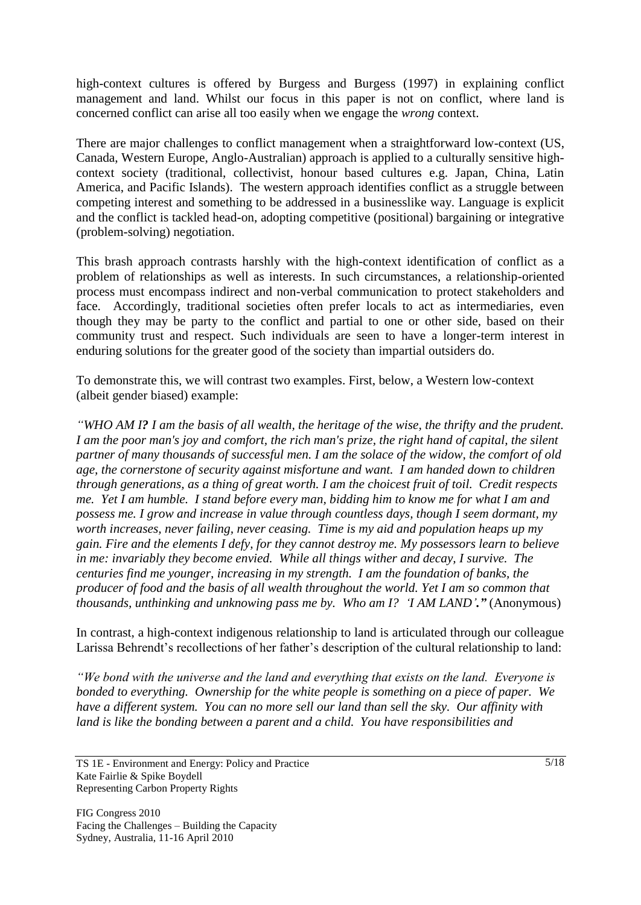high-context cultures is offered by Burgess and Burgess (1997) in explaining conflict management and land. Whilst our focus in this paper is not on conflict, where land is concerned conflict can arise all too easily when we engage the *wrong* context.

There are major challenges to conflict management when a straightforward low-context (US, Canada, Western Europe, Anglo-Australian) approach is applied to a culturally sensitive highcontext society (traditional, collectivist, honour based cultures e.g. Japan, China, Latin America, and Pacific Islands). The western approach identifies conflict as a struggle between competing interest and something to be addressed in a businesslike way. Language is explicit and the conflict is tackled head-on, adopting competitive (positional) bargaining or integrative (problem-solving) negotiation.

This brash approach contrasts harshly with the high-context identification of conflict as a problem of relationships as well as interests. In such circumstances, a relationship-oriented process must encompass indirect and non-verbal communication to protect stakeholders and face. Accordingly, traditional societies often prefer locals to act as intermediaries, even though they may be party to the conflict and partial to one or other side, based on their community trust and respect. Such individuals are seen to have a longer-term interest in enduring solutions for the greater good of the society than impartial outsiders do.

To demonstrate this, we will contrast two examples. First, below, a Western low-context (albeit gender biased) example:

*"WHO AM I? I am the basis of all wealth, the heritage of the wise, the thrifty and the prudent. I am the poor man's joy and comfort, the rich man's prize, the right hand of capital, the silent partner of many thousands of successful men. I am the solace of the widow, the comfort of old age, the cornerstone of security against misfortune and want. I am handed down to children through generations, as a thing of great worth. I am the choicest fruit of toil. Credit respects me. Yet I am humble. I stand before every man, bidding him to know me for what I am and possess me. I grow and increase in value through countless days, though I seem dormant, my worth increases, never failing, never ceasing. Time is my aid and population heaps up my gain. Fire and the elements I defy, for they cannot destroy me. My possessors learn to believe in me: invariably they become envied. While all things wither and decay, I survive. The centuries find me younger, increasing in my strength. I am the foundation of banks, the producer of food and the basis of all wealth throughout the world. Yet I am so common that thousands, unthinking and unknowing pass me by. Who am I? 'I AM LAND'."* (Anonymous)

In contrast, a high-context indigenous relationship to land is articulated through our colleague Larissa Behrendt's recollections of her father's description of the cultural relationship to land:

*"We bond with the universe and the land and everything that exists on the land. Everyone is bonded to everything. Ownership for the white people is something on a piece of paper. We have a different system. You can no more sell our land than sell the sky. Our affinity with land is like the bonding between a parent and a child. You have responsibilities and*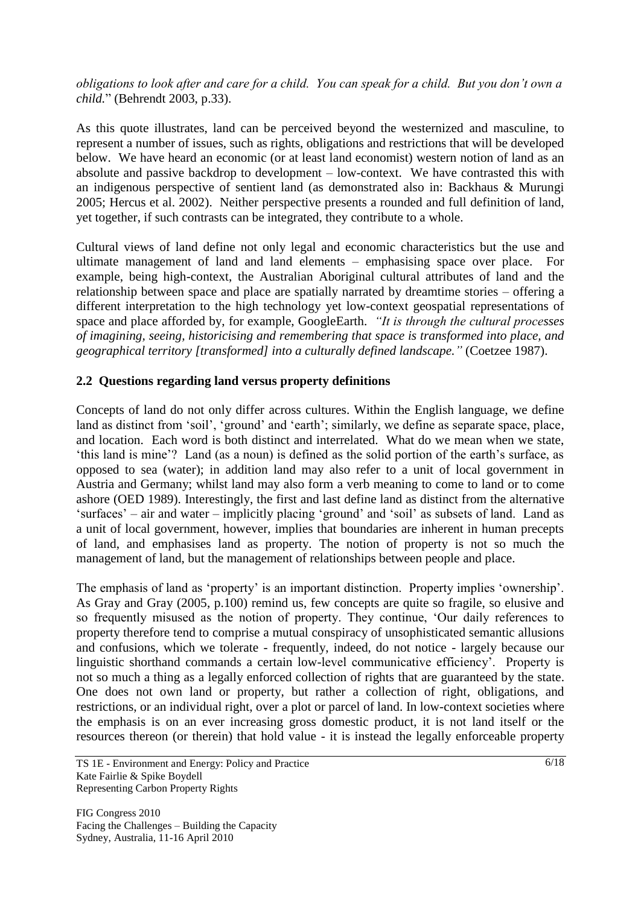*obligations to look after and care for a child. You can speak for a child. But you don"t own a child.*" (Behrendt 2003, p.33).

As this quote illustrates, land can be perceived beyond the westernized and masculine, to represent a number of issues, such as rights, obligations and restrictions that will be developed below. We have heard an economic (or at least land economist) western notion of land as an absolute and passive backdrop to development – low-context. We have contrasted this with an indigenous perspective of sentient land (as demonstrated also in: Backhaus & Murungi 2005; Hercus et al. 2002). Neither perspective presents a rounded and full definition of land, yet together, if such contrasts can be integrated, they contribute to a whole.

Cultural views of land define not only legal and economic characteristics but the use and ultimate management of land and land elements – emphasising space over place. For example, being high-context, the Australian Aboriginal cultural attributes of land and the relationship between space and place are spatially narrated by dreamtime stories – offering a different interpretation to the high technology yet low-context geospatial representations of space and place afforded by, for example, GoogleEarth. *"It is through the cultural processes of imagining, seeing, historicising and remembering that space is transformed into place, and geographical territory [transformed] into a culturally defined landscape."* (Coetzee 1987).

# **2.2 Questions regarding land versus property definitions**

Concepts of land do not only differ across cultures. Within the English language, we define land as distinct from 'soil', 'ground' and 'earth'; similarly, we define as separate space, place, and location. Each word is both distinct and interrelated. What do we mean when we state, "this land is mine"? Land (as a noun) is defined as the solid portion of the earth"s surface, as opposed to sea (water); in addition land may also refer to a unit of local government in Austria and Germany; whilst land may also form a verb meaning to come to land or to come ashore (OED 1989). Interestingly, the first and last define land as distinct from the alternative "surfaces" – air and water – implicitly placing "ground" and "soil" as subsets of land. Land as a unit of local government, however, implies that boundaries are inherent in human precepts of land, and emphasises land as property. The notion of property is not so much the management of land, but the management of relationships between people and place.

The emphasis of land as 'property' is an important distinction. Property implies 'ownership'. As Gray and Gray (2005, p.100) remind us, few concepts are quite so fragile, so elusive and so frequently misused as the notion of property. They continue, "Our daily references to property therefore tend to comprise a mutual conspiracy of unsophisticated semantic allusions and confusions, which we tolerate - frequently, indeed, do not notice - largely because our linguistic shorthand commands a certain low-level communicative efficiency". Property is not so much a thing as a legally enforced collection of rights that are guaranteed by the state. One does not own land or property, but rather a collection of right, obligations, and restrictions, or an individual right, over a plot or parcel of land. In low-context societies where the emphasis is on an ever increasing gross domestic product, it is not land itself or the resources thereon (or therein) that hold value - it is instead the legally enforceable property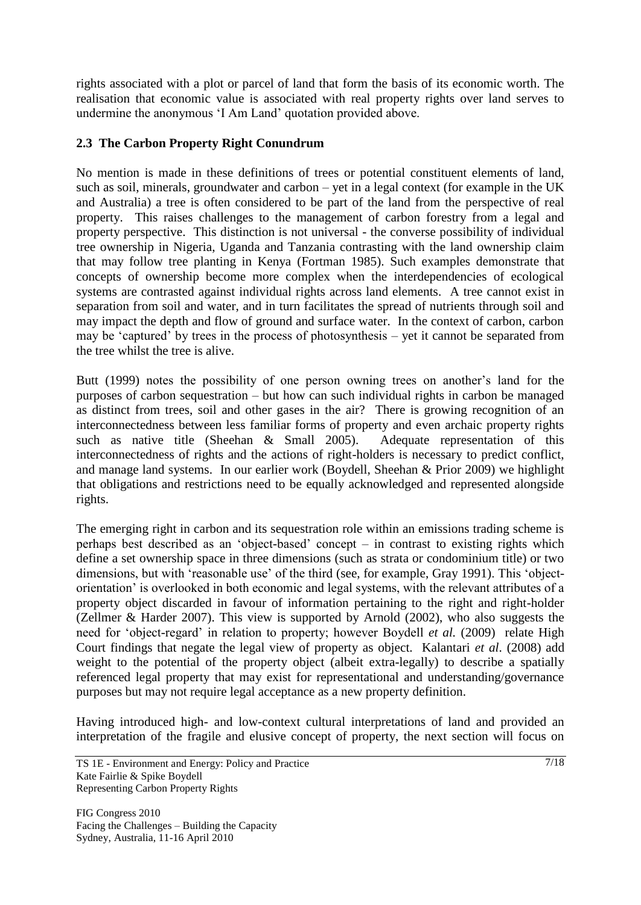rights associated with a plot or parcel of land that form the basis of its economic worth. The realisation that economic value is associated with real property rights over land serves to undermine the anonymous "I Am Land" quotation provided above.

# **2.3 The Carbon Property Right Conundrum**

No mention is made in these definitions of trees or potential constituent elements of land, such as soil, minerals, groundwater and carbon – yet in a legal context (for example in the UK and Australia) a tree is often considered to be part of the land from the perspective of real property. This raises challenges to the management of carbon forestry from a legal and property perspective. This distinction is not universal - the converse possibility of individual tree ownership in Nigeria, Uganda and Tanzania contrasting with the land ownership claim that may follow tree planting in Kenya (Fortman 1985). Such examples demonstrate that concepts of ownership become more complex when the interdependencies of ecological systems are contrasted against individual rights across land elements. A tree cannot exist in separation from soil and water, and in turn facilitates the spread of nutrients through soil and may impact the depth and flow of ground and surface water. In the context of carbon, carbon may be "captured" by trees in the process of photosynthesis – yet it cannot be separated from the tree whilst the tree is alive.

Butt (1999) notes the possibility of one person owning trees on another"s land for the purposes of carbon sequestration – but how can such individual rights in carbon be managed as distinct from trees, soil and other gases in the air? There is growing recognition of an interconnectedness between less familiar forms of property and even archaic property rights such as native title (Sheehan & Small 2005). Adequate representation of this interconnectedness of rights and the actions of right-holders is necessary to predict conflict, and manage land systems. In our earlier work (Boydell, Sheehan & Prior 2009) we highlight that obligations and restrictions need to be equally acknowledged and represented alongside rights.

The emerging right in carbon and its sequestration role within an emissions trading scheme is perhaps best described as an "object-based" concept – in contrast to existing rights which define a set ownership space in three dimensions (such as strata or condominium title) or two dimensions, but with 'reasonable use' of the third (see, for example, Gray 1991). This 'objectorientation" is overlooked in both economic and legal systems, with the relevant attributes of a property object discarded in favour of information pertaining to the right and right-holder (Zellmer & Harder 2007). This view is supported by Arnold (2002), who also suggests the need for "object-regard" in relation to property; however Boydell *et al.* (2009) relate High Court findings that negate the legal view of property as object. Kalantari *et al*. (2008) add weight to the potential of the property object (albeit extra-legally) to describe a spatially referenced legal property that may exist for representational and understanding/governance purposes but may not require legal acceptance as a new property definition.

Having introduced high- and low-context cultural interpretations of land and provided an interpretation of the fragile and elusive concept of property, the next section will focus on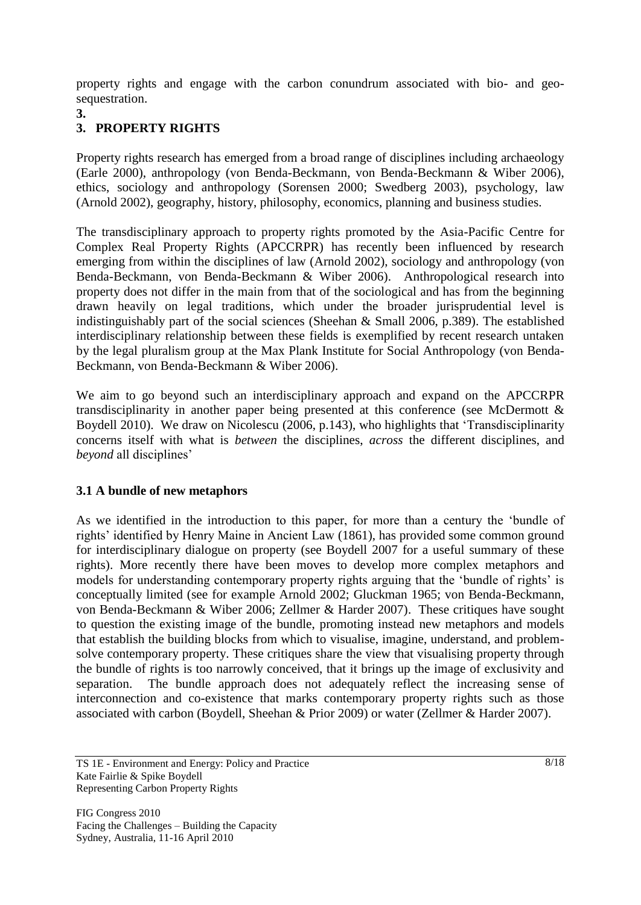property rights and engage with the carbon conundrum associated with bio- and geosequestration.

**3.**

# **3. PROPERTY RIGHTS**

Property rights research has emerged from a broad range of disciplines including archaeology (Earle 2000), anthropology (von Benda-Beckmann, von Benda-Beckmann & Wiber 2006), ethics, sociology and anthropology (Sorensen 2000; Swedberg 2003), psychology, law (Arnold 2002), geography, history, philosophy, economics, planning and business studies.

The transdisciplinary approach to property rights promoted by the Asia-Pacific Centre for Complex Real Property Rights (APCCRPR) has recently been influenced by research emerging from within the disciplines of law (Arnold 2002), sociology and anthropology (von Benda-Beckmann, von Benda-Beckmann & Wiber 2006). Anthropological research into property does not differ in the main from that of the sociological and has from the beginning drawn heavily on legal traditions, which under the broader jurisprudential level is indistinguishably part of the social sciences (Sheehan & Small 2006, p.389). The established interdisciplinary relationship between these fields is exemplified by recent research untaken by the legal pluralism group at the Max Plank Institute for Social Anthropology (von Benda-Beckmann, von Benda-Beckmann & Wiber 2006).

We aim to go beyond such an interdisciplinary approach and expand on the APCCRPR transdisciplinarity in another paper being presented at this conference (see McDermott & Boydell 2010). We draw on Nicolescu (2006, p.143), who highlights that "Transdisciplinarity concerns itself with what is *between* the disciplines, *across* the different disciplines, and *beyond* all disciplines'

#### **3.1 A bundle of new metaphors**

As we identified in the introduction to this paper, for more than a century the "bundle of rights" identified by Henry Maine in Ancient Law (1861), has provided some common ground for interdisciplinary dialogue on property (see Boydell 2007 for a useful summary of these rights). More recently there have been moves to develop more complex metaphors and models for understanding contemporary property rights arguing that the 'bundle of rights' is conceptually limited (see for example Arnold 2002; Gluckman 1965; von Benda-Beckmann, von Benda-Beckmann & Wiber 2006; Zellmer & Harder 2007). These critiques have sought to question the existing image of the bundle, promoting instead new metaphors and models that establish the building blocks from which to visualise, imagine, understand, and problemsolve contemporary property. These critiques share the view that visualising property through the bundle of rights is too narrowly conceived, that it brings up the image of exclusivity and separation. The bundle approach does not adequately reflect the increasing sense of interconnection and co-existence that marks contemporary property rights such as those associated with carbon (Boydell, Sheehan & Prior 2009) or water (Zellmer & Harder 2007).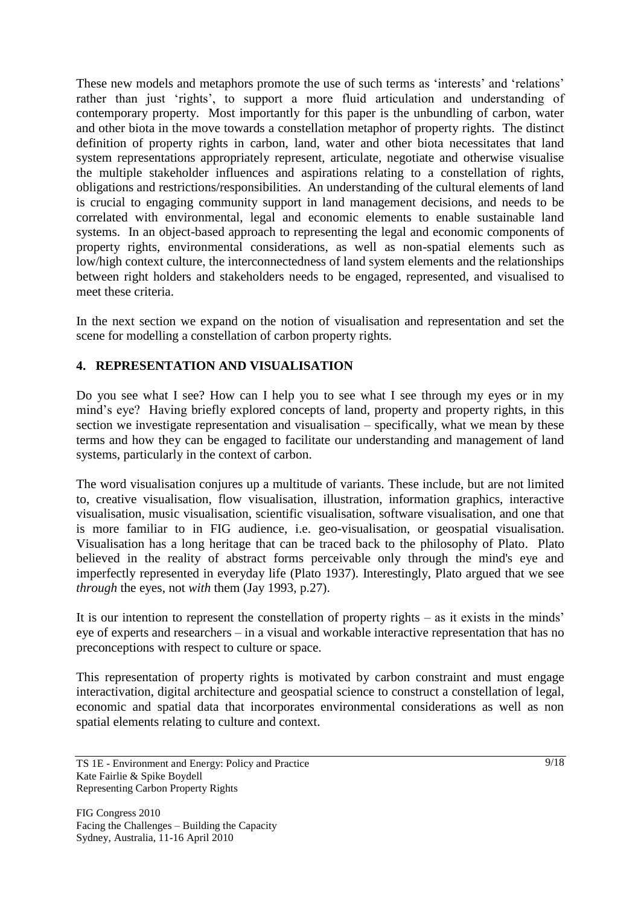These new models and metaphors promote the use of such terms as 'interests' and 'relations' rather than just "rights", to support a more fluid articulation and understanding of contemporary property. Most importantly for this paper is the unbundling of carbon, water and other biota in the move towards a constellation metaphor of property rights. The distinct definition of property rights in carbon, land, water and other biota necessitates that land system representations appropriately represent, articulate, negotiate and otherwise visualise the multiple stakeholder influences and aspirations relating to a constellation of rights, obligations and restrictions/responsibilities. An understanding of the cultural elements of land is crucial to engaging community support in land management decisions, and needs to be correlated with environmental, legal and economic elements to enable sustainable land systems. In an object-based approach to representing the legal and economic components of property rights, environmental considerations, as well as non-spatial elements such as low/high context culture, the interconnectedness of land system elements and the relationships between right holders and stakeholders needs to be engaged, represented, and visualised to meet these criteria.

In the next section we expand on the notion of visualisation and representation and set the scene for modelling a constellation of carbon property rights.

# **4. REPRESENTATION AND VISUALISATION**

Do you see what I see? How can I help you to see what I see through my eyes or in my mind"s eye? Having briefly explored concepts of land, property and property rights, in this section we investigate representation and visualisation – specifically, what we mean by these terms and how they can be engaged to facilitate our understanding and management of land systems, particularly in the context of carbon.

The word visualisation conjures up a multitude of variants. These include, but are not limited to, creative visualisation, flow visualisation, illustration, information graphics, interactive visualisation, music visualisation, scientific visualisation, software visualisation, and one that is more familiar to in FIG audience, i.e. geo-visualisation, or geospatial visualisation. Visualisation has a long heritage that can be traced back to the philosophy of Plato. Plato believed in the reality of abstract forms perceivable only through the mind's eye and imperfectly represented in everyday life (Plato 1937). Interestingly, Plato argued that we see *through* the eyes, not *with* them (Jay 1993, p.27).

It is our intention to represent the constellation of property rights – as it exists in the minds" eye of experts and researchers – in a visual and workable interactive representation that has no preconceptions with respect to culture or space.

This representation of property rights is motivated by carbon constraint and must engage interactivation, digital architecture and geospatial science to construct a constellation of legal, economic and spatial data that incorporates environmental considerations as well as non spatial elements relating to culture and context.

TS 1E - Environment and Energy: Policy and Practice Kate Fairlie & Spike Boydell Representing Carbon Property Rights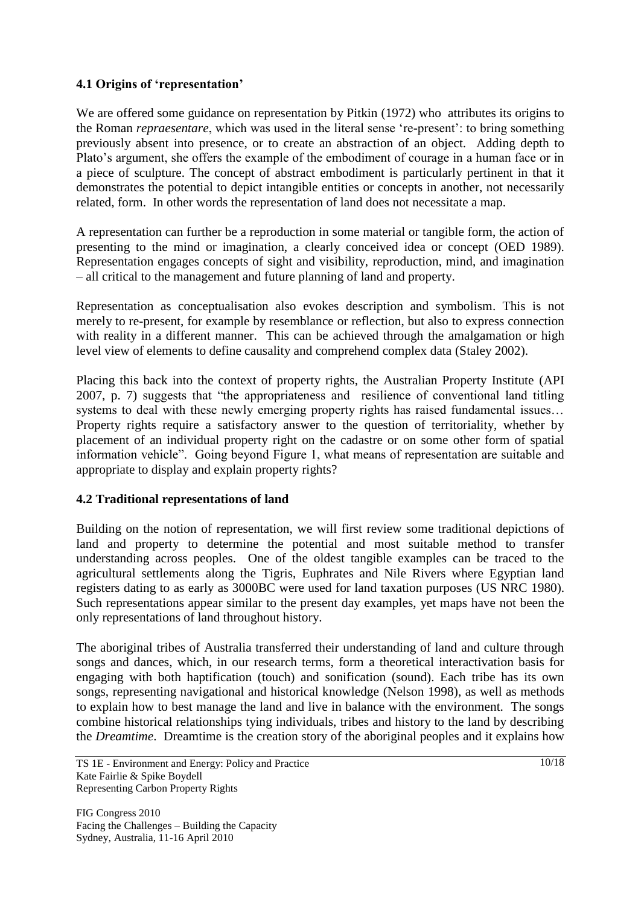# **4.1 Origins of 'representation'**

We are offered some guidance on representation by Pitkin (1972) who attributes its origins to the Roman *repraesentare*, which was used in the literal sense "re-present": to bring something previously absent into presence, or to create an abstraction of an object. Adding depth to Plato's argument, she offers the example of the embodiment of courage in a human face or in a piece of sculpture. The concept of abstract embodiment is particularly pertinent in that it demonstrates the potential to depict intangible entities or concepts in another, not necessarily related, form. In other words the representation of land does not necessitate a map.

A representation can further be a reproduction in some material or tangible form, the action of presenting to the mind or imagination, a clearly conceived idea or concept (OED 1989). Representation engages concepts of sight and visibility, reproduction, mind, and imagination – all critical to the management and future planning of land and property.

Representation as conceptualisation also evokes description and symbolism. This is not merely to re-present, for example by resemblance or reflection, but also to express connection with reality in a different manner. This can be achieved through the amalgamation or high level view of elements to define causality and comprehend complex data (Staley 2002).

Placing this back into the context of property rights, the Australian Property Institute (API 2007, p. 7) suggests that "the appropriateness and resilience of conventional land titling systems to deal with these newly emerging property rights has raised fundamental issues… Property rights require a satisfactory answer to the question of territoriality, whether by placement of an individual property right on the cadastre or on some other form of spatial information vehicle". Going beyond Figure 1, what means of representation are suitable and appropriate to display and explain property rights?

#### **4.2 Traditional representations of land**

Building on the notion of representation, we will first review some traditional depictions of land and property to determine the potential and most suitable method to transfer understanding across peoples. One of the oldest tangible examples can be traced to the agricultural settlements along the Tigris, Euphrates and Nile Rivers where Egyptian land registers dating to as early as 3000BC were used for land taxation purposes (US NRC 1980). Such representations appear similar to the present day examples, yet maps have not been the only representations of land throughout history.

The aboriginal tribes of Australia transferred their understanding of land and culture through songs and dances, which, in our research terms, form a theoretical interactivation basis for engaging with both haptification (touch) and sonification (sound). Each tribe has its own songs, representing navigational and historical knowledge (Nelson 1998), as well as methods to explain how to best manage the land and live in balance with the environment. The songs combine historical relationships tying individuals, tribes and history to the land by describing the *Dreamtime*. Dreamtime is the creation story of the aboriginal peoples and it explains how

TS 1E - Environment and Energy: Policy and Practice Kate Fairlie & Spike Boydell Representing Carbon Property Rights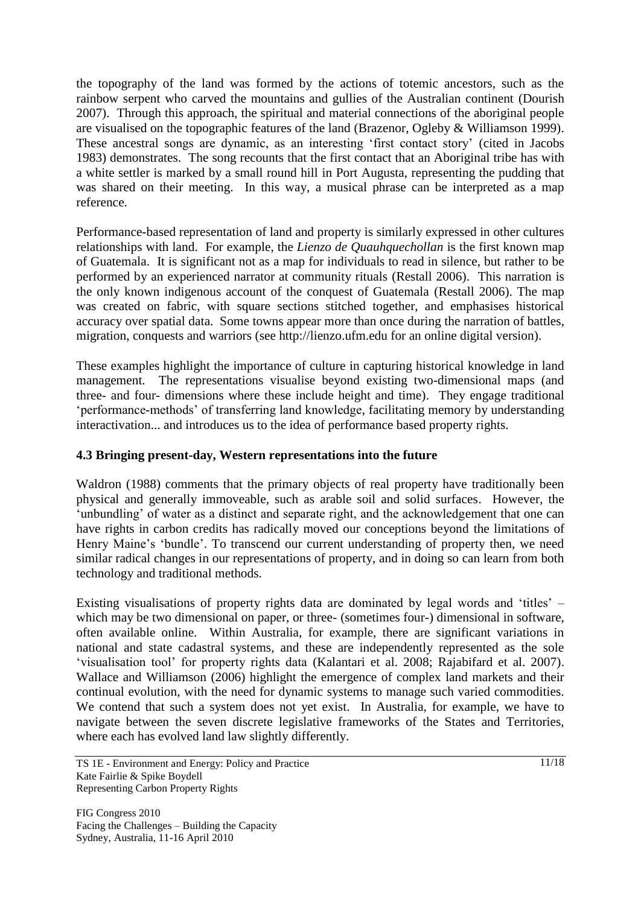the topography of the land was formed by the actions of totemic ancestors, such as the rainbow serpent who carved the mountains and gullies of the Australian continent (Dourish 2007). Through this approach, the spiritual and material connections of the aboriginal people are visualised on the topographic features of the land (Brazenor, Ogleby & Williamson 1999). These ancestral songs are dynamic, as an interesting "first contact story" (cited in Jacobs 1983) demonstrates. The song recounts that the first contact that an Aboriginal tribe has with a white settler is marked by a small round hill in Port Augusta, representing the pudding that was shared on their meeting. In this way, a musical phrase can be interpreted as a map reference.

Performance-based representation of land and property is similarly expressed in other cultures relationships with land. For example, the *Lienzo de Quauhquechollan* is the first known map of Guatemala. It is significant not as a map for individuals to read in silence, but rather to be performed by an experienced narrator at community rituals (Restall 2006). This narration is the only known indigenous account of the conquest of Guatemala (Restall 2006). The map was created on fabric, with square sections stitched together, and emphasises historical accuracy over spatial data. Some towns appear more than once during the narration of battles, migration, conquests and warriors (see http://lienzo.ufm.edu for an online digital version).

These examples highlight the importance of culture in capturing historical knowledge in land management. The representations visualise beyond existing two-dimensional maps (and three- and four- dimensions where these include height and time). They engage traditional "performance-methods" of transferring land knowledge, facilitating memory by understanding interactivation... and introduces us to the idea of performance based property rights.

#### **4.3 Bringing present-day, Western representations into the future**

Waldron (1988) comments that the primary objects of real property have traditionally been physical and generally immoveable, such as arable soil and solid surfaces. However, the "unbundling" of water as a distinct and separate right, and the acknowledgement that one can have rights in carbon credits has radically moved our conceptions beyond the limitations of Henry Maine's 'bundle'. To transcend our current understanding of property then, we need similar radical changes in our representations of property, and in doing so can learn from both technology and traditional methods.

Existing visualisations of property rights data are dominated by legal words and "titles" – which may be two dimensional on paper, or three- (sometimes four-) dimensional in software, often available online. Within Australia, for example, there are significant variations in national and state cadastral systems, and these are independently represented as the sole 'visualisation tool' for property rights data (Kalantari et al. 2008; Rajabifard et al. 2007). Wallace and Williamson (2006) highlight the emergence of complex land markets and their continual evolution, with the need for dynamic systems to manage such varied commodities. We contend that such a system does not yet exist. In Australia, for example, we have to navigate between the seven discrete legislative frameworks of the States and Territories, where each has evolved land law slightly differently.

TS 1E - Environment and Energy: Policy and Practice Kate Fairlie & Spike Boydell Representing Carbon Property Rights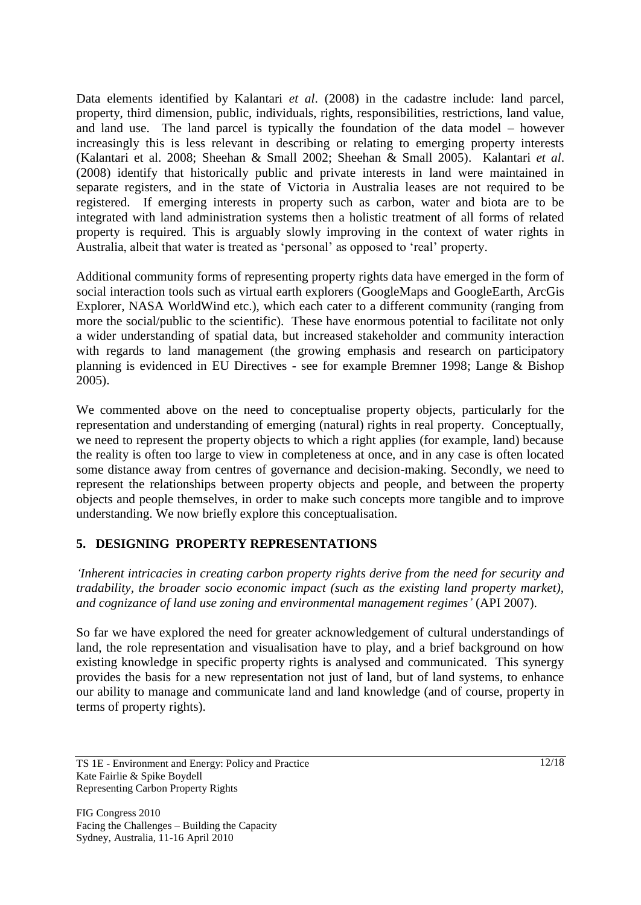Data elements identified by Kalantari *et al*. (2008) in the cadastre include: land parcel, property, third dimension, public, individuals, rights, responsibilities, restrictions, land value, and land use. The land parcel is typically the foundation of the data model – however increasingly this is less relevant in describing or relating to emerging property interests (Kalantari et al. 2008; Sheehan & Small 2002; Sheehan & Small 2005). Kalantari *et al*. (2008) identify that historically public and private interests in land were maintained in separate registers, and in the state of Victoria in Australia leases are not required to be registered. If emerging interests in property such as carbon, water and biota are to be integrated with land administration systems then a holistic treatment of all forms of related property is required. This is arguably slowly improving in the context of water rights in Australia, albeit that water is treated as "personal" as opposed to "real" property.

Additional community forms of representing property rights data have emerged in the form of social interaction tools such as virtual earth explorers (GoogleMaps and GoogleEarth, ArcGis Explorer, NASA WorldWind etc.), which each cater to a different community (ranging from more the social/public to the scientific). These have enormous potential to facilitate not only a wider understanding of spatial data, but increased stakeholder and community interaction with regards to land management (the growing emphasis and research on participatory planning is evidenced in EU Directives - see for example Bremner 1998; Lange & Bishop 2005).

We commented above on the need to conceptualise property objects, particularly for the representation and understanding of emerging (natural) rights in real property. Conceptually, we need to represent the property objects to which a right applies (for example, land) because the reality is often too large to view in completeness at once, and in any case is often located some distance away from centres of governance and decision-making. Secondly, we need to represent the relationships between property objects and people, and between the property objects and people themselves, in order to make such concepts more tangible and to improve understanding. We now briefly explore this conceptualisation.

# **5. DESIGNING PROPERTY REPRESENTATIONS**

*"Inherent intricacies in creating carbon property rights derive from the need for security and tradability, the broader socio economic impact (such as the existing land property market), and cognizance of land use zoning and environmental management regimes"* (API 2007).

So far we have explored the need for greater acknowledgement of cultural understandings of land, the role representation and visualisation have to play, and a brief background on how existing knowledge in specific property rights is analysed and communicated. This synergy provides the basis for a new representation not just of land, but of land systems, to enhance our ability to manage and communicate land and land knowledge (and of course, property in terms of property rights).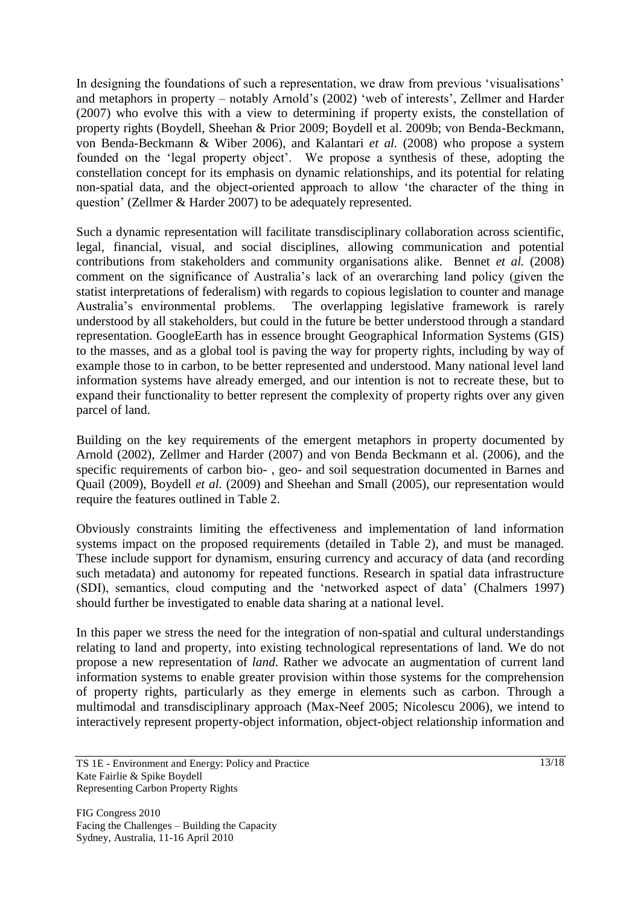In designing the foundations of such a representation, we draw from previous 'visualisations' and metaphors in property – notably Arnold"s (2002) "web of interests", Zellmer and Harder (2007) who evolve this with a view to determining if property exists, the constellation of property rights (Boydell, Sheehan & Prior 2009; Boydell et al. 2009b; von Benda-Beckmann, von Benda-Beckmann & Wiber 2006), and Kalantari *et al.* (2008) who propose a system founded on the "legal property object". We propose a synthesis of these, adopting the constellation concept for its emphasis on dynamic relationships, and its potential for relating non-spatial data, and the object-oriented approach to allow "the character of the thing in question" (Zellmer & Harder 2007) to be adequately represented.

Such a dynamic representation will facilitate transdisciplinary collaboration across scientific, legal, financial, visual, and social disciplines, allowing communication and potential contributions from stakeholders and community organisations alike. Bennet *et al.* (2008) comment on the significance of Australia"s lack of an overarching land policy (given the statist interpretations of federalism) with regards to copious legislation to counter and manage Australia"s environmental problems. The overlapping legislative framework is rarely understood by all stakeholders, but could in the future be better understood through a standard representation. GoogleEarth has in essence brought Geographical Information Systems (GIS) to the masses, and as a global tool is paving the way for property rights, including by way of example those to in carbon, to be better represented and understood. Many national level land information systems have already emerged, and our intention is not to recreate these, but to expand their functionality to better represent the complexity of property rights over any given parcel of land.

Building on the key requirements of the emergent metaphors in property documented by Arnold (2002), Zellmer and Harder (2007) and von Benda Beckmann et al. (2006), and the specific requirements of carbon bio- , geo- and soil sequestration documented in Barnes and Quail (2009), Boydell *et al.* (2009) and Sheehan and Small (2005), our representation would require the features outlined in Table 2.

Obviously constraints limiting the effectiveness and implementation of land information systems impact on the proposed requirements (detailed in Table 2), and must be managed. These include support for dynamism, ensuring currency and accuracy of data (and recording such metadata) and autonomy for repeated functions. Research in spatial data infrastructure (SDI), semantics, cloud computing and the "networked aspect of data" (Chalmers 1997) should further be investigated to enable data sharing at a national level.

In this paper we stress the need for the integration of non-spatial and cultural understandings relating to land and property, into existing technological representations of land. We do not propose a new representation of *land.* Rather we advocate an augmentation of current land information systems to enable greater provision within those systems for the comprehension of property rights, particularly as they emerge in elements such as carbon. Through a multimodal and transdisciplinary approach (Max-Neef 2005; Nicolescu 2006), we intend to interactively represent property-object information, object-object relationship information and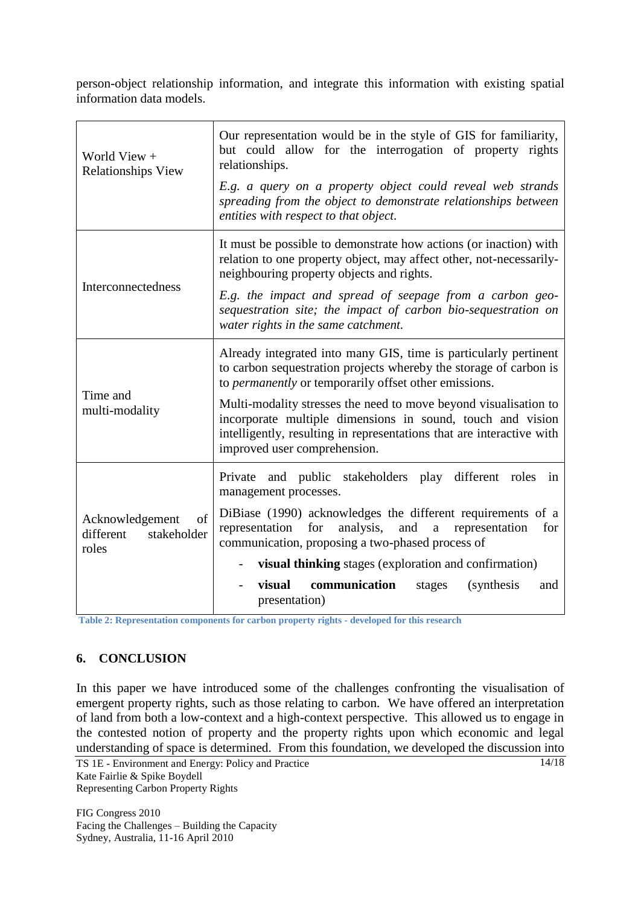person-object relationship information, and integrate this information with existing spatial information data models.

| World View $+$<br><b>Relationships View</b>                        | Our representation would be in the style of GIS for familiarity,<br>but could allow for the interrogation of property rights<br>relationships.<br>E.g. a query on a property object could reveal web strands<br>spreading from the object to demonstrate relationships between<br>entities with respect to that object.                                                                                                                   |  |
|--------------------------------------------------------------------|-------------------------------------------------------------------------------------------------------------------------------------------------------------------------------------------------------------------------------------------------------------------------------------------------------------------------------------------------------------------------------------------------------------------------------------------|--|
| Interconnectedness                                                 | It must be possible to demonstrate how actions (or inaction) with<br>relation to one property object, may affect other, not-necessarily-<br>neighbouring property objects and rights.<br>E.g. the impact and spread of seepage from a carbon geo-<br>sequestration site; the impact of carbon bio-sequestration on<br>water rights in the same catchment.                                                                                 |  |
| Time and<br>multi-modality                                         | Already integrated into many GIS, time is particularly pertinent<br>to carbon sequestration projects whereby the storage of carbon is<br>to permanently or temporarily offset other emissions.<br>Multi-modality stresses the need to move beyond visualisation to<br>incorporate multiple dimensions in sound, touch and vision<br>intelligently, resulting in representations that are interactive with<br>improved user comprehension. |  |
| $\sigma f$<br>Acknowledgement<br>different<br>stakeholder<br>roles | Private and public stakeholders play different roles in<br>management processes.<br>DiBiase (1990) acknowledges the different requirements of a<br>analysis,<br>and<br>representation<br>for<br>representation<br>for<br>$\mathbf{a}$<br>communication, proposing a two-phased process of<br>visual thinking stages (exploration and confirmation)<br>visual<br>communication<br>stages<br><i>(synthesis)</i><br>and<br>presentation)     |  |

**Table 2: Representation components for carbon property rights - developed for this research**

# **6. CONCLUSION**

In this paper we have introduced some of the challenges confronting the visualisation of emergent property rights, such as those relating to carbon. We have offered an interpretation of land from both a low-context and a high-context perspective. This allowed us to engage in the contested notion of property and the property rights upon which economic and legal understanding of space is determined. From this foundation, we developed the discussion into

TS 1E - Environment and Energy: Policy and Practice Kate Fairlie & Spike Boydell Representing Carbon Property Rights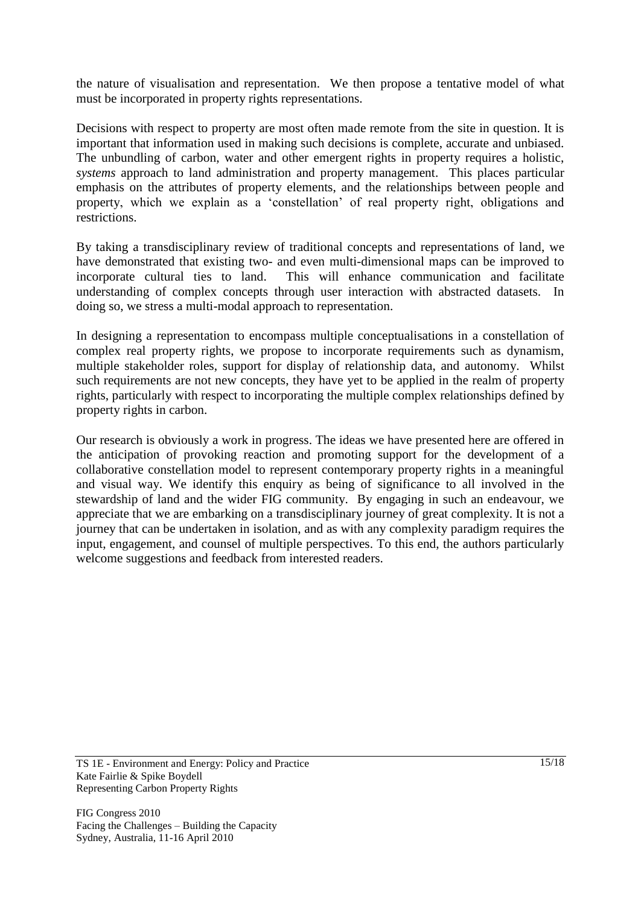the nature of visualisation and representation. We then propose a tentative model of what must be incorporated in property rights representations.

Decisions with respect to property are most often made remote from the site in question. It is important that information used in making such decisions is complete, accurate and unbiased. The unbundling of carbon, water and other emergent rights in property requires a holistic, *systems* approach to land administration and property management. This places particular emphasis on the attributes of property elements, and the relationships between people and property, which we explain as a "constellation" of real property right, obligations and restrictions.

By taking a transdisciplinary review of traditional concepts and representations of land, we have demonstrated that existing two- and even multi-dimensional maps can be improved to incorporate cultural ties to land. This will enhance communication and facilitate understanding of complex concepts through user interaction with abstracted datasets. In doing so, we stress a multi-modal approach to representation.

In designing a representation to encompass multiple conceptualisations in a constellation of complex real property rights, we propose to incorporate requirements such as dynamism, multiple stakeholder roles, support for display of relationship data, and autonomy. Whilst such requirements are not new concepts, they have yet to be applied in the realm of property rights, particularly with respect to incorporating the multiple complex relationships defined by property rights in carbon.

Our research is obviously a work in progress. The ideas we have presented here are offered in the anticipation of provoking reaction and promoting support for the development of a collaborative constellation model to represent contemporary property rights in a meaningful and visual way. We identify this enquiry as being of significance to all involved in the stewardship of land and the wider FIG community. By engaging in such an endeavour, we appreciate that we are embarking on a transdisciplinary journey of great complexity. It is not a journey that can be undertaken in isolation, and as with any complexity paradigm requires the input, engagement, and counsel of multiple perspectives. To this end, the authors particularly welcome suggestions and feedback from interested readers.

TS 1E - Environment and Energy: Policy and Practice Kate Fairlie & Spike Boydell Representing Carbon Property Rights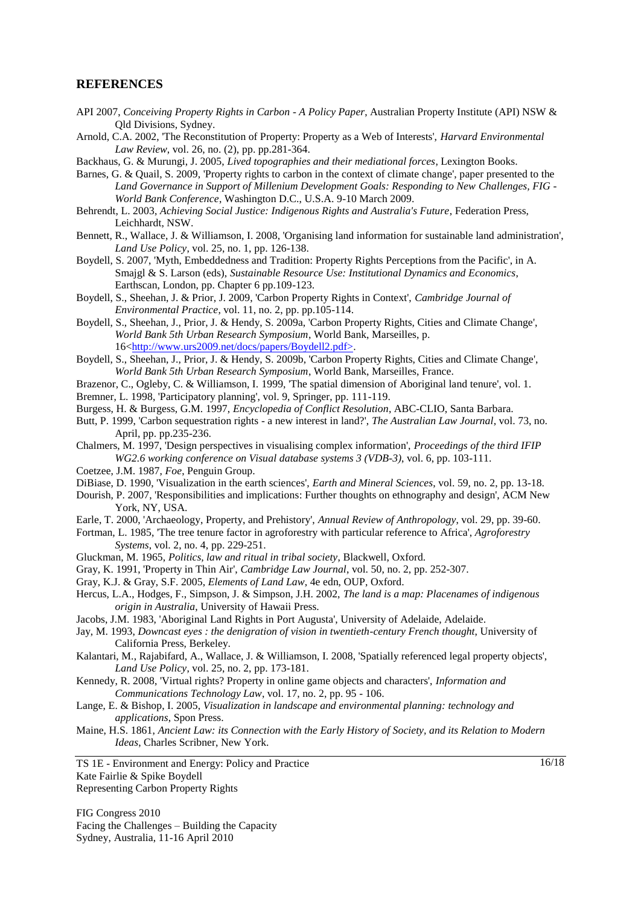#### **REFERENCES**

- API 2007, *Conceiving Property Rights in Carbon - A Policy Paper*, Australian Property Institute (API) NSW & Qld Divisions, Sydney.
- Arnold, C.A. 2002, 'The Reconstitution of Property: Property as a Web of Interests', *Harvard Environmental Law Review*, vol. 26, no. (2), pp. pp.281-364.
- Backhaus, G. & Murungi, J. 2005, *Lived topographies and their mediational forces*, Lexington Books.
- Barnes, G. & Quail, S. 2009, 'Property rights to carbon in the context of climate change', paper presented to the *Land Governance in Support of Millenium Development Goals: Responding to New Challenges, FIG - World Bank Conference*, Washington D.C., U.S.A. 9-10 March 2009.
- Behrendt, L. 2003, *Achieving Social Justice: Indigenous Rights and Australia's Future*, Federation Press, Leichhardt, NSW.
- Bennett, R., Wallace, J. & Williamson, I. 2008, 'Organising land information for sustainable land administration', *Land Use Policy*, vol. 25, no. 1, pp. 126-138.
- Boydell, S. 2007, 'Myth, Embeddedness and Tradition: Property Rights Perceptions from the Pacific', in A. Smajgl & S. Larson (eds), *Sustainable Resource Use: Institutional Dynamics and Economics*, Earthscan, London, pp. Chapter 6 pp.109-123.
- Boydell, S., Sheehan, J. & Prior, J. 2009, 'Carbon Property Rights in Context', *Cambridge Journal of Environmental Practice*, vol. 11, no. 2, pp. pp.105-114.
- Boydell, S., Sheehan, J., Prior, J. & Hendy, S. 2009a, 'Carbon Property Rights, Cities and Climate Change', *World Bank 5th Urban Research Symposium*, World Bank, Marseilles, p. 16[<http://www.urs2009.net/docs/papers/Boydell2.pdf>.](http://www.urs2009.net/docs/papers/Boydell2.pdf%3e)
- Boydell, S., Sheehan, J., Prior, J. & Hendy, S. 2009b, 'Carbon Property Rights, Cities and Climate Change', *World Bank 5th Urban Research Symposium*, World Bank, Marseilles, France.
- Brazenor, C., Ogleby, C. & Williamson, I. 1999, 'The spatial dimension of Aboriginal land tenure', vol. 1.
- Bremner, L. 1998, 'Participatory planning', vol. 9, Springer, pp. 111-119.
- Burgess, H. & Burgess, G.M. 1997, *Encyclopedia of Conflict Resolution*, ABC-CLIO, Santa Barbara.
- Butt, P. 1999, 'Carbon sequestration rights a new interest in land?', *The Australian Law Journal*, vol. 73, no. April, pp. pp.235-236.
- Chalmers, M. 1997, 'Design perspectives in visualising complex information', *Proceedings of the third IFIP WG2.6 working conference on Visual database systems 3 (VDB-3)*, vol. 6, pp. 103-111.
- Coetzee, J.M. 1987, *Foe*, Penguin Group.
- DiBiase, D. 1990, 'Visualization in the earth sciences', *Earth and Mineral Sciences*, vol. 59, no. 2, pp. 13-18.
- Dourish, P. 2007, 'Responsibilities and implications: Further thoughts on ethnography and design', ACM New York, NY, USA.
- Earle, T. 2000, 'Archaeology, Property, and Prehistory', *Annual Review of Anthropology*, vol. 29, pp. 39-60.
- Fortman, L. 1985, 'The tree tenure factor in agroforestry with particular reference to Africa', *Agroforestry Systems*, vol. 2, no. 4, pp. 229-251.
- Gluckman, M. 1965, *Politics, law and ritual in tribal society*, Blackwell, Oxford.
- Gray, K. 1991, 'Property in Thin Air', *Cambridge Law Journal*, vol. 50, no. 2, pp. 252-307.
- Gray, K.J. & Gray, S.F. 2005, *Elements of Land Law*, 4e edn, OUP, Oxford.
- Hercus, L.A., Hodges, F., Simpson, J. & Simpson, J.H. 2002, *The land is a map: Placenames of indigenous origin in Australia*, University of Hawaii Press.
- Jacobs, J.M. 1983, 'Aboriginal Land Rights in Port Augusta', University of Adelaide, Adelaide.
- Jay, M. 1993, *Downcast eyes : the denigration of vision in twentieth-century French thought*, University of California Press, Berkeley.
- Kalantari, M., Rajabifard, A., Wallace, J. & Williamson, I. 2008, 'Spatially referenced legal property objects', *Land Use Policy*, vol. 25, no. 2, pp. 173-181.
- Kennedy, R. 2008, 'Virtual rights? Property in online game objects and characters', *Information and Communications Technology Law*, vol. 17, no. 2, pp. 95 - 106.
- Lange, E. & Bishop, I. 2005, *Visualization in landscape and environmental planning: technology and applications*, Spon Press.
- Maine, H.S. 1861, *Ancient Law: its Connection with the Early History of Society, and its Relation to Modern Ideas*, Charles Scribner, New York.

TS 1E - Environment and Energy: Policy and Practice Kate Fairlie & Spike Boydell Representing Carbon Property Rights

FIG Congress 2010 Facing the Challenges – Building the Capacity Sydney, Australia, 11-16 April 2010

16/18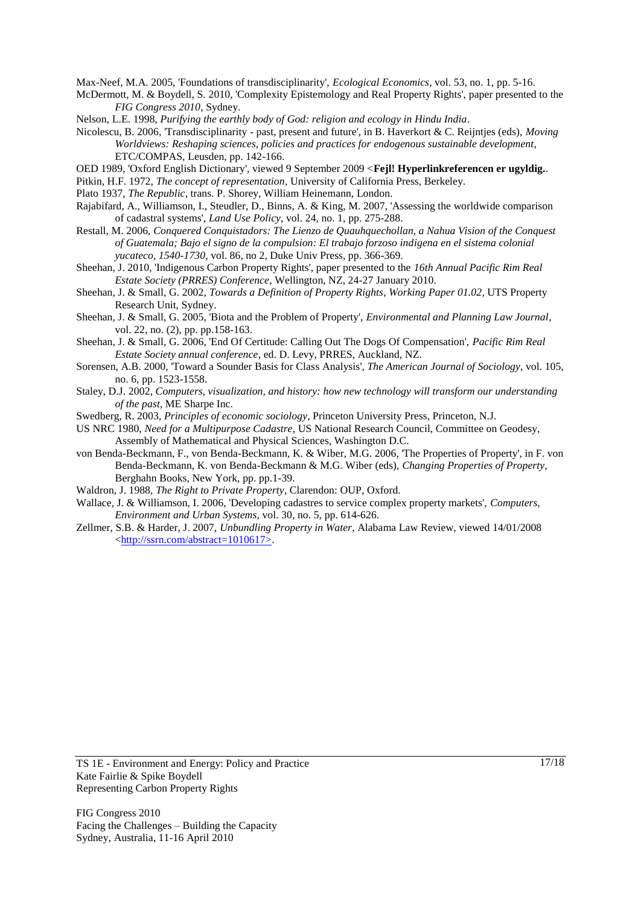Max-Neef, M.A. 2005, 'Foundations of transdisciplinarity', *Ecological Economics*, vol. 53, no. 1, pp. 5-16.

- McDermott, M. & Boydell, S. 2010, 'Complexity Epistemology and Real Property Rights', paper presented to the *FIG Congress 2010*, Sydney.
- Nelson, L.E. 1998, *Purifying the earthly body of God: religion and ecology in Hindu India*.
- Nicolescu, B. 2006, 'Transdisciplinarity past, present and future', in B. Haverkort & C. Reijntjes (eds), *Moving Worldviews: Reshaping sciences, policies and practices for endogenous sustainable development*, ETC/COMPAS, Leusden, pp. 142-166.
- OED 1989, 'Oxford English Dictionary', viewed 9 September 2009 <**Fejl! Hyperlinkreferencen er ugyldig.**.
- Pitkin, H.F. 1972, *The concept of representation*, University of California Press, Berkeley.
- Plato 1937, *The Republic*, trans. P. Shorey, William Heinemann, London.
- Rajabifard, A., Williamson, I., Steudler, D., Binns, A. & King, M. 2007, 'Assessing the worldwide comparison of cadastral systems', *Land Use Policy*, vol. 24, no. 1, pp. 275-288.
- Restall, M. 2006, *Conquered Conquistadors: The Lienzo de Quauhquechollan, a Nahua Vision of the Conquest of Guatemala; Bajo el signo de la compulsion: El trabajo forzoso indigena en el sistema colonial yucateco, 1540-1730*, vol. 86, no 2, Duke Univ Press, pp. 366-369.
- Sheehan, J. 2010, 'Indigenous Carbon Property Rights', paper presented to the *16th Annual Pacific Rim Real Estate Society (PRRES) Conference*, Wellington, NZ, 24-27 January 2010.
- Sheehan, J. & Small, G. 2002, *Towards a Definition of Property Rights*, *Working Paper 01.02*, UTS Property Research Unit, Sydney.
- Sheehan, J. & Small, G. 2005, 'Biota and the Problem of Property', *Environmental and Planning Law Journal*, vol. 22, no. (2), pp. pp.158-163.
- Sheehan, J. & Small, G. 2006, 'End Of Certitude: Calling Out The Dogs Of Compensation', *Pacific Rim Real Estate Society annual conference*, ed. D. Levy, PRRES, Auckland, NZ.
- Sorensen, A.B. 2000, 'Toward a Sounder Basis for Class Analysis', *The American Journal of Sociology*, vol. 105, no. 6, pp. 1523-1558.
- Staley, D.J. 2002, *Computers, visualization, and history: how new technology will transform our understanding of the past*, ME Sharpe Inc.
- Swedberg, R. 2003, *Principles of economic sociology*, Princeton University Press, Princeton, N.J.
- US NRC 1980, *Need for a Multipurpose Cadastre*, US National Research Council, Committee on Geodesy, Assembly of Mathematical and Physical Sciences, Washington D.C.
- von Benda-Beckmann, F., von Benda-Beckmann, K. & Wiber, M.G. 2006, 'The Properties of Property', in F. von Benda-Beckmann, K. von Benda-Beckmann & M.G. Wiber (eds), *Changing Properties of Property*, Berghahn Books, New York, pp. pp.1-39.
- Waldron, J. 1988, *The Right to Private Property*, Clarendon: OUP, Oxford.
- Wallace, J. & Williamson, I. 2006, 'Developing cadastres to service complex property markets', *Computers, Environment and Urban Systems*, vol. 30, no. 5, pp. 614-626.
- Zellmer, S.B. & Harder, J. 2007, *Unbundling Property in Water*, Alabama Law Review, viewed 14/01/2008 [<http://ssrn.com/abstract=1010617>.](http://ssrn.com/abstract=1010617%3e)